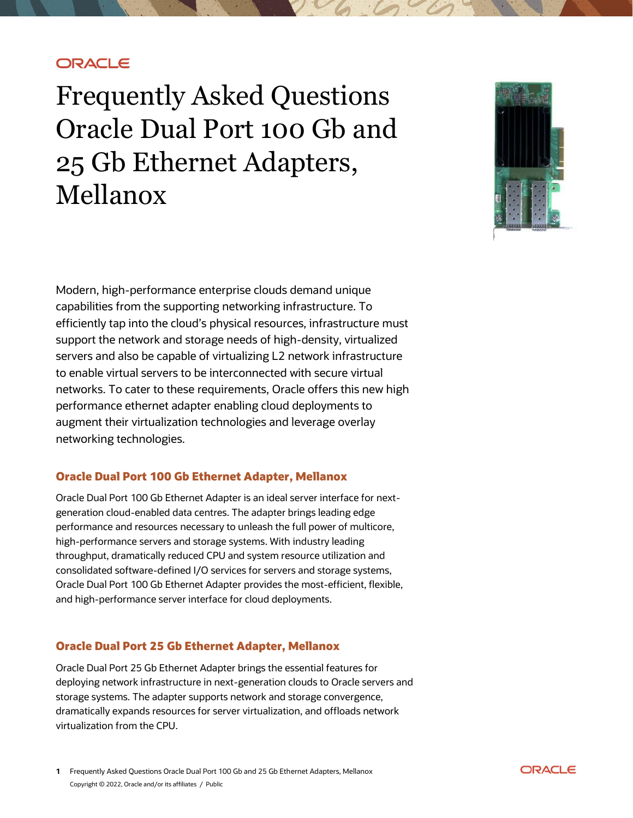# **ORACLE**

Frequently Asked Questions Oracle Dual Port 100 Gb and 25 Gb Ethernet Adapters, Mellanox



Modern, high-performance enterprise clouds demand unique capabilities from the supporting networking infrastructure. To efficiently tap into the cloud's physical resources, infrastructure must support the network and storage needs of high-density, virtualized servers and also be capable of virtualizing L2 network infrastructure to enable virtual servers to be interconnected with secure virtual networks. To cater to these requirements, Oracle offers this new high performance ethernet adapter enabling cloud deployments to augment their virtualization technologies and leverage overlay networking technologies.

### **Oracle Dual Port 100 Gb Ethernet Adapter, Mellanox**

Oracle Dual Port 100 Gb Ethernet Adapter is an ideal server interface for nextgeneration cloud-enabled data centres. The adapter brings leading edge performance and resources necessary to unleash the full power of multicore, high-performance servers and storage systems. With industry leading throughput, dramatically reduced CPU and system resource utilization and consolidated software-defined I/O services for servers and storage systems, Oracle Dual Port 100 Gb Ethernet Adapter provides the most-efficient, flexible, and high-performance server interface for cloud deployments.

### **Oracle Dual Port 25 Gb Ethernet Adapter, Mellanox**

Oracle Dual Port 25 Gb Ethernet Adapter brings the essential features for deploying network infrastructure in next-generation clouds to Oracle servers and storage systems. The adapter supports network and storage convergence, dramatically expands resources for server virtualization, and offloads network virtualization from the CPU.

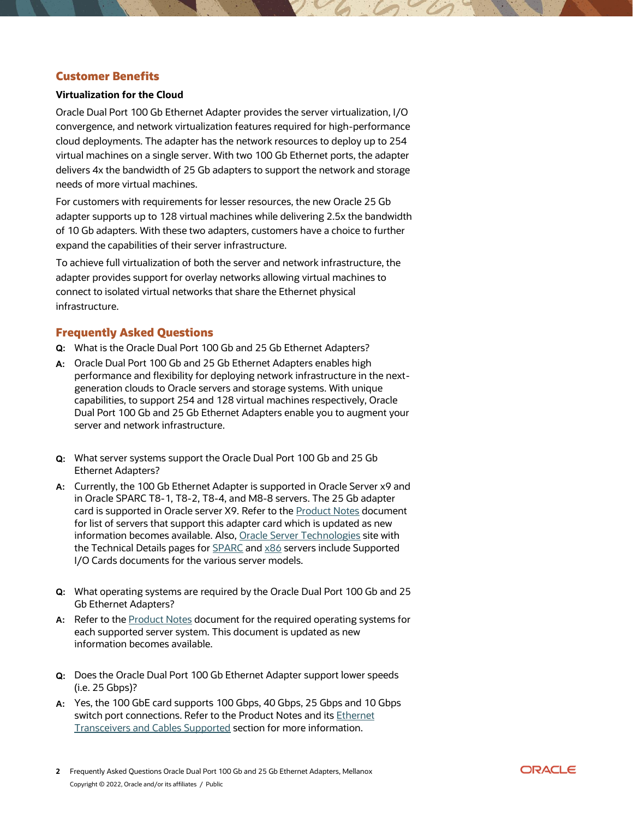### **Customer Benefits**

#### **Virtualization for the Cloud**

Oracle Dual Port 100 Gb Ethernet Adapter provides the server virtualization, I/O convergence, and network virtualization features required for high-performance cloud deployments. The adapter has the network resources to deploy up to 254 virtual machines on a single server. With two 100 Gb Ethernet ports, the adapter delivers 4x the bandwidth of 25 Gb adapters to support the network and storage needs of more virtual machines.

For customers with requirements for lesser resources, the new Oracle 25 Gb adapter supports up to 128 virtual machines while delivering 2.5x the bandwidth of 10 Gb adapters. With these two adapters, customers have a choice to further expand the capabilities of their server infrastructure.

To achieve full virtualization of both the server and network infrastructure, the adapter provides support for overlay networks allowing virtual machines to connect to isolated virtual networks that share the Ethernet physical infrastructure.

## **Frequently Asked Questions**

- **Q:** What is the Oracle Dual Port 100 Gb and 25 Gb Ethernet Adapters?
- **A:** Oracle Dual Port 100 Gb and 25 Gb Ethernet Adapters enables high performance and flexibility for deploying network infrastructure in the nextgeneration clouds to Oracle servers and storage systems. With unique capabilities, to support 254 and 128 virtual machines respectively, Oracle Dual Port 100 Gb and 25 Gb Ethernet Adapters enable you to augment your server and network infrastructure.
- **Q:** What server systems support the Oracle Dual Port 100 Gb and 25 Gb Ethernet Adapters?
- **A:** Currently, the 100 Gb Ethernet Adapter is supported in Oracle Server x9 and in Oracle SPARC T8-1, T8-2, T8-4, and M8-8 servers. The 25 Gb adapter card is supported in Oracle server X9. Refer to th[e Product Notes](https://docs.oracle.com/en/networking/ethernet/dual-port-25-100-ethernet-adapter/product-notes/grzyp.html#MCFPNgtajc) document for list of servers that support this adapter card which is updated as new information becomes available. Also[, Oracle Server Technologies](https://www.oracle.com/servers/technologies/) site with the Technical Details pages fo[r SPARC](https://www.oracle.com/servers/technologies/enterprise-sparc-servers-resources.html) and [x86](https://www.oracle.com/servers/technologies/x86-servers.html) servers include Supported I/O Cards documents for the various server models.
- **Q:** What operating systems are required by the Oracle Dual Port 100 Gb and 25 Gb Ethernet Adapters?
- **A:** Refer to th[e Product Notes](https://docs.oracle.com/en/networking/ethernet/dual-port-25-100-ethernet-adapter/product-notes/grzyp.html#MCFPNgtajc) document for the required operating systems for each supported server system. This document is updated as new information becomes available.
- **Q:** Does the Oracle Dual Port 100 Gb Ethernet Adapter support lower speeds (i.e. 25 Gbps)?
- **A:** Yes, the 100 GbE card supports 100 Gbps, 40 Gbps, 25 Gbps and 10 Gbps switch port connections. Refer to the Product Notes and its Ethernet [Transceivers and Cables Supported](https://docs.oracle.com/en/networking/ethernet/dual-port-25-100-ethernet-adapter/product-notes/grzyp.html#MCFPNgqxzy) section for more information.